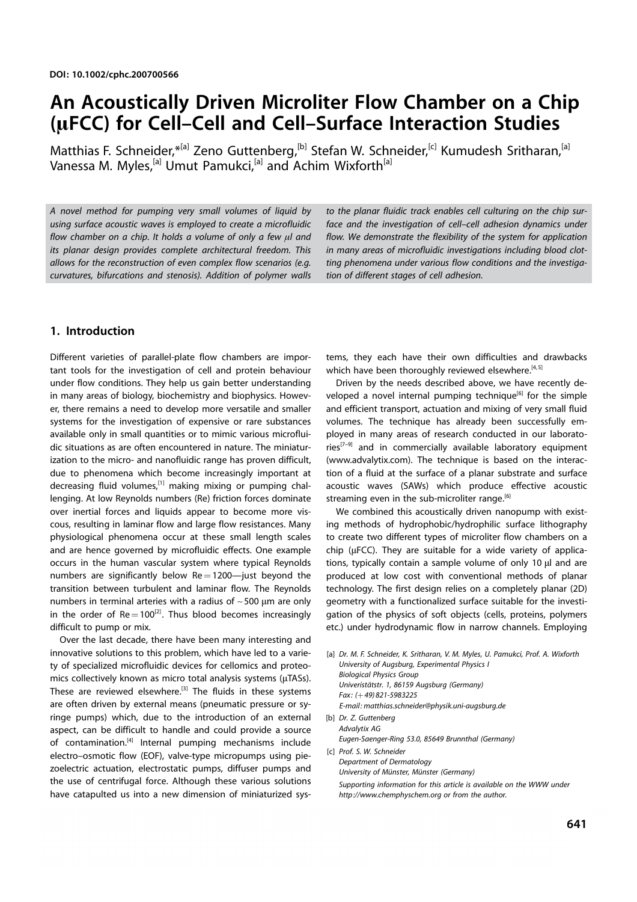# An Acoustically Driven Microliter Flow Chamber on a Chip (mFCC) for Cell–Cell and Cell–Surface Interaction Studies

Matthias F. Schneider,\*<sup>[a]</sup> Zeno Guttenberg,<sup>[b]</sup> Stefan W. Schneider,<sup>[c]</sup> Kumudesh Sritharan,<sup>[a]</sup> Vanessa M. Myles,<sup>[a]</sup> Umut Pamukci,<sup>[a]</sup> and Achim Wixforth<sup>[a]</sup>

A novel method for pumping very small volumes of liquid by using surface acoustic waves is employed to create a microfluidic flow chamber on a chip. It holds a volume of only a few  $\mu$ l and its planar design provides complete architectural freedom. This allows for the reconstruction of even complex flow scenarios (e.g. curvatures, bifurcations and stenosis). Addition of polymer walls

## 1. Introduction

Different varieties of parallel-plate flow chambers are important tools for the investigation of cell and protein behaviour under flow conditions. They help us gain better understanding in many areas of biology, biochemistry and biophysics. However, there remains a need to develop more versatile and smaller systems for the investigation of expensive or rare substances available only in small quantities or to mimic various microfluidic situations as are often encountered in nature. The miniaturization to the micro- and nanofluidic range has proven difficult, due to phenomena which become increasingly important at decreasing fluid volumes,<sup>[1]</sup> making mixing or pumping challenging. At low Reynolds numbers (Re) friction forces dominate over inertial forces and liquids appear to become more viscous, resulting in laminar flow and large flow resistances. Many physiological phenomena occur at these small length scales and are hence governed by microfluidic effects. One example occurs in the human vascular system where typical Reynolds numbers are significantly below  $Re = 1200$ —just beyond the transition between turbulent and laminar flow. The Reynolds numbers in terminal arteries with a radius of  $\sim$  500 µm are only in the order of  $Re = 100^{2}$ . Thus blood becomes increasingly difficult to pump or mix.

Over the last decade, there have been many interesting and innovative solutions to this problem, which have led to a variety of specialized microfluidic devices for cellomics and proteomics collectively known as micro total analysis systems (µTASs). These are reviewed elsewhere.<sup>[3]</sup> The fluids in these systems are often driven by external means (pneumatic pressure or syringe pumps) which, due to the introduction of an external aspect, can be difficult to handle and could provide a source of contamination.<sup>[4]</sup> Internal pumping mechanisms include electro–osmotic flow (EOF), valve-type micropumps using piezoelectric actuation, electrostatic pumps, diffuser pumps and the use of centrifugal force. Although these various solutions have catapulted us into a new dimension of miniaturized sys-

to the planar fluidic track enables cell culturing on the chip surface and the investigation of cell–cell adhesion dynamics under flow. We demonstrate the flexibility of the system for application in many areas of microfluidic investigations including blood clotting phenomena under various flow conditions and the investigation of different stages of cell adhesion.

tems, they each have their own difficulties and drawbacks which have been thoroughly reviewed elsewhere.<sup>[4,5]</sup>

Driven by the needs described above, we have recently developed a novel internal pumping technique<sup>[6]</sup> for the simple and efficient transport, actuation and mixing of very small fluid volumes. The technique has already been successfully employed in many areas of research conducted in our laboratories<sup>[7-9]</sup> and in commercially available laboratory equipment (www.advalytix.com). The technique is based on the interaction of a fluid at the surface of a planar substrate and surface acoustic waves (SAWs) which produce effective acoustic streaming even in the sub-microliter range.<sup>[6]</sup>

We combined this acoustically driven nanopump with existing methods of hydrophobic/hydrophilic surface lithography to create two different types of microliter flow chambers on a chip (mFCC). They are suitable for a wide variety of applications, typically contain a sample volume of only 10 µl and are produced at low cost with conventional methods of planar technology. The first design relies on a completely planar (2D) geometry with a functionalized surface suitable for the investigation of the physics of soft objects (cells, proteins, polymers etc.) under hydrodynamic flow in narrow channels. Employing

|  | [a] Dr. M. F. Schneider, K. Sritharan, V. M. Myles, U. Pamukci, Prof. A. Wixforth<br>University of Augsburg, Experimental Physics I<br><b>Biological Physics Group</b><br>Univeristätstr. 1, 86159 Augsburg (Germany)<br>Fax: $(+ 49)$ 821-5983225<br>E-mail: matthias.schneider@physik.uni-augsburg.de |
|--|---------------------------------------------------------------------------------------------------------------------------------------------------------------------------------------------------------------------------------------------------------------------------------------------------------|
|  | [b] Dr. Z. Guttenberg<br>Advalytix AG<br>Eugen-Saenger-Ring 53.0, 85649 Brunnthal (Germany)                                                                                                                                                                                                             |
|  | [c] Prof. S. W. Schneider<br>Department of Dermatology<br>University of Münster, Münster (Germany)                                                                                                                                                                                                      |
|  | Supporting information for this article is available on the WWW under<br>http://www.chemphyschem.org or from the author.                                                                                                                                                                                |
|  |                                                                                                                                                                                                                                                                                                         |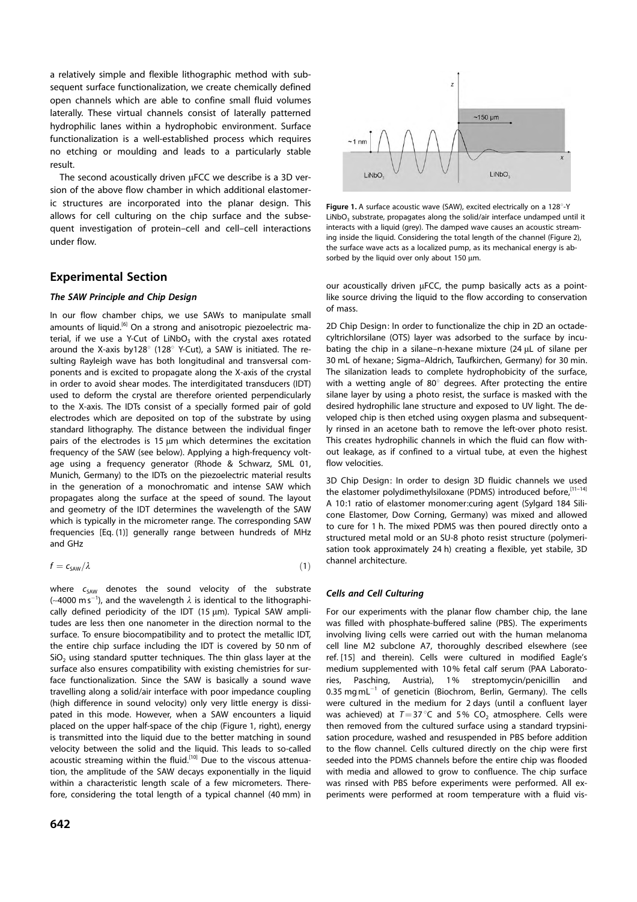a relatively simple and flexible lithographic method with subsequent surface functionalization, we create chemically defined open channels which are able to confine small fluid volumes laterally. These virtual channels consist of laterally patterned hydrophilic lanes within a hydrophobic environment. Surface functionalization is a well-established process which requires no etching or moulding and leads to a particularly stable result.

The second acoustically driven µFCC we describe is a 3D version of the above flow chamber in which additional elastomeric structures are incorporated into the planar design. This allows for cell culturing on the chip surface and the subsequent investigation of protein–cell and cell–cell interactions under flow.

# Experimental Section

#### The SAW Principle and Chip Design

In our flow chamber chips, we use SAWs to manipulate small amounts of liquid.<sup>[6]</sup> On a strong and anisotropic piezoelectric material, if we use a Y-Cut of LiNbO<sub>3</sub> with the crystal axes rotated around the X-axis by128 $^{\circ}$  (128 $^{\circ}$  Y-Cut), a SAW is initiated. The resulting Rayleigh wave has both longitudinal and transversal components and is excited to propagate along the X-axis of the crystal in order to avoid shear modes. The interdigitated transducers (IDT) used to deform the crystal are therefore oriented perpendicularly to the X-axis. The IDTs consist of a specially formed pair of gold electrodes which are deposited on top of the substrate by using standard lithography. The distance between the individual finger pairs of the electrodes is 15  $\mu$ m which determines the excitation frequency of the SAW (see below). Applying a high-frequency voltage using a frequency generator (Rhode & Schwarz, SML 01, Munich, Germany) to the IDTs on the piezoelectric material results in the generation of a monochromatic and intense SAW which propagates along the surface at the speed of sound. The layout and geometry of the IDT determines the wavelength of the SAW which is typically in the micrometer range. The corresponding SAW frequencies [Eq. (1)] generally range between hundreds of MHz and GHz

$$
f = c_{SAW}/\lambda \tag{1}
$$

where  $c_{SAW}$  denotes the sound velocity of the substrate (~4000 ms<sup>-1</sup>), and the wavelength  $\lambda$  is identical to the lithographically defined periodicity of the IDT (15  $\mu$ m). Typical SAW amplitudes are less then one nanometer in the direction normal to the surface. To ensure biocompatibility and to protect the metallic IDT, the entire chip surface including the IDT is covered by 50 nm of  $SiO<sub>2</sub>$  using standard sputter techniques. The thin glass layer at the surface also ensures compatibility with existing chemistries for surface functionalization. Since the SAW is basically a sound wave travelling along a solid/air interface with poor impedance coupling (high difference in sound velocity) only very little energy is dissipated in this mode. However, when a SAW encounters a liquid placed on the upper half-space of the chip (Figure 1, right), energy is transmitted into the liquid due to the better matching in sound velocity between the solid and the liquid. This leads to so-called acoustic streaming within the fluid.<sup>[10]</sup> Due to the viscous attenuation, the amplitude of the SAW decays exponentially in the liquid within a characteristic length scale of a few micrometers. Therefore, considering the total length of a typical channel (40 mm) in



Figure 1. A surface acoustic wave (SAW), excited electrically on a  $128^{\circ}$ -Y LiNbO<sub>2</sub> substrate, propagates along the solid/air interface undamped until it interacts with a liquid (grey). The damped wave causes an acoustic streaming inside the liquid. Considering the total length of the channel (Figure 2), the surface wave acts as a localized pump, as its mechanical energy is absorbed by the liquid over only about 150  $\mu$ m.

our acoustically driven µFCC, the pump basically acts as a pointlike source driving the liquid to the flow according to conservation of mass.

2D Chip Design: In order to functionalize the chip in 2D an octadecyltrichlorsilane (OTS) layer was adsorbed to the surface by incubating the chip in a silane–n-hexane mixture  $(24 \mu)$  of silane per 30 mL of hexane; Sigma–Aldrich, Taufkirchen, Germany) for 30 min. The silanization leads to complete hydrophobicity of the surface, with a wetting angle of  $80^\circ$  degrees. After protecting the entire silane layer by using a photo resist, the surface is masked with the desired hydrophilic lane structure and exposed to UV light. The developed chip is then etched using oxygen plasma and subsequently rinsed in an acetone bath to remove the left-over photo resist. This creates hydrophilic channels in which the fluid can flow without leakage, as if confined to a virtual tube, at even the highest flow velocities.

3D Chip Design: In order to design 3D fluidic channels we used the elastomer polydimethylsiloxane (PDMS) introduced before, [11–14] A 10:1 ratio of elastomer monomer:curing agent (Sylgard 184 Silicone Elastomer, Dow Corning, Germany) was mixed and allowed to cure for 1 h. The mixed PDMS was then poured directly onto a structured metal mold or an SU-8 photo resist structure (polymerisation took approximately 24 h) creating a flexible, yet stabile, 3D channel architecture.

#### Cells and Cell Culturing

For our experiments with the planar flow chamber chip, the lane was filled with phosphate-buffered saline (PBS). The experiments involving living cells were carried out with the human melanoma cell line M2 subclone A7, thoroughly described elsewhere (see ref. [15] and therein). Cells were cultured in modified Eagle's medium supplemented with 10% fetal calf serum (PAA Laboratories, Pasching, Austria), 1% streptomycin/penicillin and 0.35 mg mL<sup>-1</sup> of geneticin (Biochrom, Berlin, Germany). The cells were cultured in the medium for 2 days (until a confluent layer was achieved) at  $T=37^{\circ}C$  and 5% CO<sub>2</sub> atmosphere. Cells were then removed from the cultured surface using a standard trypsinisation procedure, washed and resuspended in PBS before addition to the flow channel. Cells cultured directly on the chip were first seeded into the PDMS channels before the entire chip was flooded with media and allowed to grow to confluence. The chip surface was rinsed with PBS before experiments were performed. All experiments were performed at room temperature with a fluid vis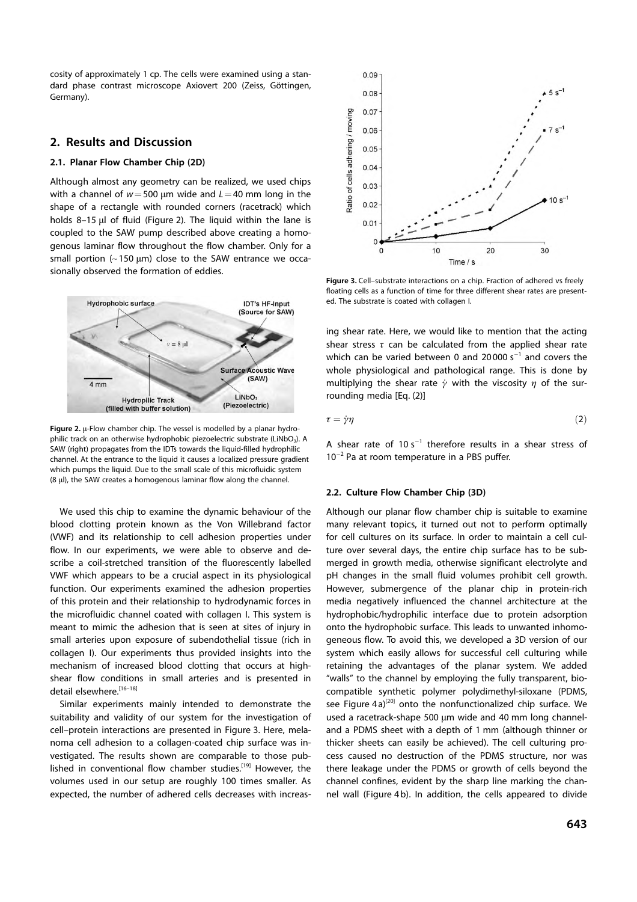cosity of approximately 1 cp. The cells were examined using a standard phase contrast microscope Axiovert 200 (Zeiss, Göttingen, Germany).

## 2. Results and Discussion

### 2.1. Planar Flow Chamber Chip (2D)

Although almost any geometry can be realized, we used chips with a channel of  $w=500 \mu m$  wide and  $L=40 \mu m$  long in the shape of a rectangle with rounded corners (racetrack) which holds 8-15 µl of fluid (Figure 2). The liquid within the lane is coupled to the SAW pump described above creating a homogenous laminar flow throughout the flow chamber. Only for a small portion  $(-150 \mu m)$  close to the SAW entrance we occasionally observed the formation of eddies.



Figure 2.  $\mu$ -Flow chamber chip. The vessel is modelled by a planar hydrophilic track on an otherwise hydrophobic piezoelectric substrate (LiNbO<sub>3</sub>). A SAW (right) propagates from the IDTs towards the liquid-filled hydrophilic channel. At the entrance to the liquid it causes a localized pressure gradient which pumps the liquid. Due to the small scale of this microfluidic system (8 ml), the SAW creates a homogenous laminar flow along the channel.

We used this chip to examine the dynamic behaviour of the blood clotting protein known as the Von Willebrand factor (VWF) and its relationship to cell adhesion properties under flow. In our experiments, we were able to observe and describe a coil-stretched transition of the fluorescently labelled VWF which appears to be a crucial aspect in its physiological function. Our experiments examined the adhesion properties of this protein and their relationship to hydrodynamic forces in the microfluidic channel coated with collagen I. This system is meant to mimic the adhesion that is seen at sites of injury in small arteries upon exposure of subendothelial tissue (rich in collagen I). Our experiments thus provided insights into the mechanism of increased blood clotting that occurs at highshear flow conditions in small arteries and is presented in detail elsewhere.<sup>[16-18]</sup>

Similar experiments mainly intended to demonstrate the suitability and validity of our system for the investigation of cell–protein interactions are presented in Figure 3. Here, melanoma cell adhesion to a collagen-coated chip surface was investigated. The results shown are comparable to those published in conventional flow chamber studies.<sup>[19]</sup> However, the volumes used in our setup are roughly 100 times smaller. As expected, the number of adhered cells decreases with increas-



Figure 3. Cell–substrate interactions on a chip. Fraction of adhered vs freely floating cells as a function of time for three different shear rates are presented. The substrate is coated with collagen I.

ing shear rate. Here, we would like to mention that the acting shear stress  $\tau$  can be calculated from the applied shear rate which can be varied between 0 and 20000  $s^{-1}$  and covers the whole physiological and pathological range. This is done by multiplying the shear rate  $\dot{\gamma}$  with the viscosity  $\eta$  of the surrounding media [Eq. (2)]

$$
\tau = \dot{\gamma}\eta \tag{2}
$$

A shear rate of  $10 s^{-1}$  therefore results in a shear stress of 10<sup>-2</sup> Pa at room temperature in a PBS puffer.

#### 2.2. Culture Flow Chamber Chip (3D)

Although our planar flow chamber chip is suitable to examine many relevant topics, it turned out not to perform optimally for cell cultures on its surface. In order to maintain a cell culture over several days, the entire chip surface has to be submerged in growth media, otherwise significant electrolyte and pH changes in the small fluid volumes prohibit cell growth. However, submergence of the planar chip in protein-rich media negatively influenced the channel architecture at the hydrophobic/hydrophilic interface due to protein adsorption onto the hydrophobic surface. This leads to unwanted inhomogeneous flow. To avoid this, we developed a 3D version of our system which easily allows for successful cell culturing while retaining the advantages of the planar system. We added "walls" to the channel by employing the fully transparent, biocompatible synthetic polymer polydimethyl-siloxane (PDMS, see Figure 4a)<sup>[20]</sup> onto the nonfunctionalized chip surface. We used a racetrack-shape 500 µm wide and 40 mm long channeland a PDMS sheet with a depth of 1 mm (although thinner or thicker sheets can easily be achieved). The cell culturing process caused no destruction of the PDMS structure, nor was there leakage under the PDMS or growth of cells beyond the channel confines, evident by the sharp line marking the channel wall (Figure 4b). In addition, the cells appeared to divide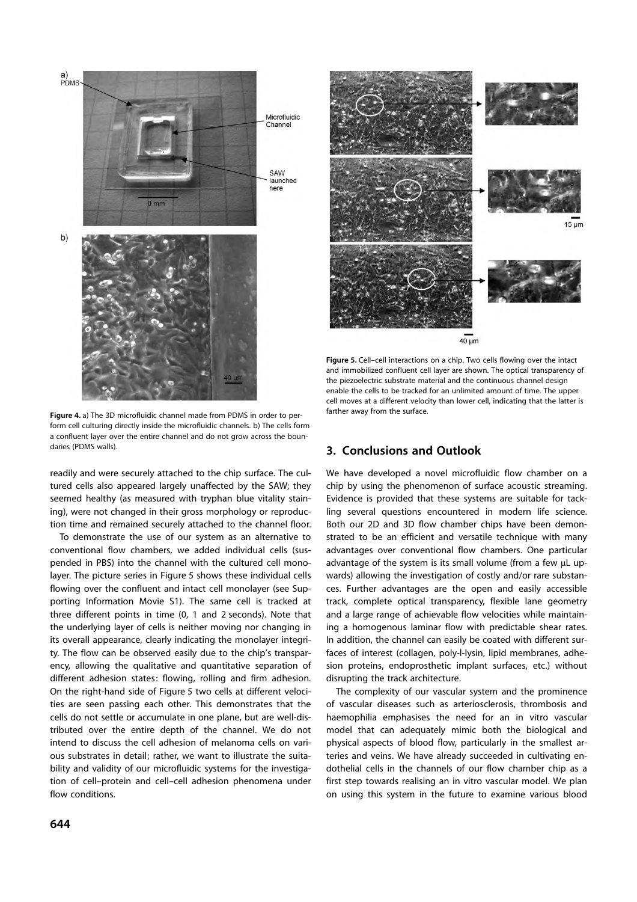

Figure 4. a) The 3D microfluidic channel made from PDMS in order to perform cell culturing directly inside the microfluidic channels. b) The cells form a confluent layer over the entire channel and do not grow across the boundaries (PDMS walls).

readily and were securely attached to the chip surface. The cultured cells also appeared largely unaffected by the SAW; they seemed healthy (as measured with tryphan blue vitality staining), were not changed in their gross morphology or reproduction time and remained securely attached to the channel floor.

To demonstrate the use of our system as an alternative to conventional flow chambers, we added individual cells (suspended in PBS) into the channel with the cultured cell monolayer. The picture series in Figure 5 shows these individual cells flowing over the confluent and intact cell monolayer (see Supporting Information Movie S1). The same cell is tracked at three different points in time (0, 1 and 2 seconds). Note that the underlying layer of cells is neither moving nor changing in its overall appearance, clearly indicating the monolayer integrity. The flow can be observed easily due to the chip's transparency, allowing the qualitative and quantitative separation of different adhesion states: flowing, rolling and firm adhesion. On the right-hand side of Figure 5 two cells at different velocities are seen passing each other. This demonstrates that the cells do not settle or accumulate in one plane, but are well-distributed over the entire depth of the channel. We do not intend to discuss the cell adhesion of melanoma cells on various substrates in detail; rather, we want to illustrate the suitability and validity of our microfluidic systems for the investigation of cell–protein and cell–cell adhesion phenomena under flow conditions.



Figure 5. Cell–cell interactions on a chip. Two cells flowing over the intact and immobilized confluent cell layer are shown. The optical transparency of the piezoelectric substrate material and the continuous channel design enable the cells to be tracked for an unlimited amount of time. The upper cell moves at a different velocity than lower cell, indicating that the latter is farther away from the surface.

# 3. Conclusions and Outlook

We have developed a novel microfluidic flow chamber on a chip by using the phenomenon of surface acoustic streaming. Evidence is provided that these systems are suitable for tackling several questions encountered in modern life science. Both our 2D and 3D flow chamber chips have been demonstrated to be an efficient and versatile technique with many advantages over conventional flow chambers. One particular advantage of the system is its small volume (from a few  $\mu$ L upwards) allowing the investigation of costly and/or rare substances. Further advantages are the open and easily accessible track, complete optical transparency, flexible lane geometry and a large range of achievable flow velocities while maintaining a homogenous laminar flow with predictable shear rates. In addition, the channel can easily be coated with different surfaces of interest (collagen, poly-l-lysin, lipid membranes, adhesion proteins, endoprosthetic implant surfaces, etc.) without disrupting the track architecture.

The complexity of our vascular system and the prominence of vascular diseases such as arteriosclerosis, thrombosis and haemophilia emphasises the need for an in vitro vascular model that can adequately mimic both the biological and physical aspects of blood flow, particularly in the smallest arteries and veins. We have already succeeded in cultivating endothelial cells in the channels of our flow chamber chip as a first step towards realising an in vitro vascular model. We plan on using this system in the future to examine various blood